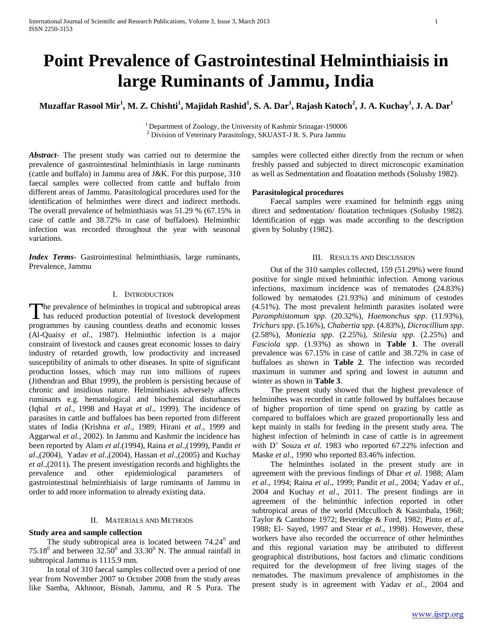# **Point Prevalence of Gastrointestinal Helminthiaisis in large Ruminants of Jammu, India**

**Muzaffar Rasool Mir<sup>1</sup> , M. Z. Chishti<sup>1</sup> , Majidah Rashid<sup>1</sup> , S. A. Dar<sup>1</sup> , Rajash Katoch<sup>2</sup> , J. A. Kuchay<sup>1</sup> , J. A. Dar<sup>1</sup>**

<sup>1</sup> Department of Zoology, the University of Kashmir Srinagar-190006 <sup>2</sup> Division of Veterinary Parasitology, SKUAST-J R. S. Pura Jammu

*Abstract***-** The present study was carried out to determine the prevalence of gastrointestinal helminthiasis in large ruminants (cattle and buffalo) in Jammu area of J&K. For this purpose, 310 faecal samples were collected from cattle and buffalo from different areas of Jammu. Parasitological procedures used for the identification of helminthes were direct and indirect methods. The overall prevalence of helminthiasis was 51.29 % (67.15% in case of cattle and 38.72% in case of buffaloes). Helminthic infection was recorded throughout the year with seasonal variations.

*Index Terms*- Gastrointestinal helminthiasis, large ruminants, Prevalence, Jammu

# I. INTRODUCTION

The prevalence of helminthes in tropical and subtropical areas The prevalence of helminthes in tropical and subtropical areas<br>has reduced production potential of livestock development programmes by causing countless deaths and economic losses (Al-Quaisy *et al*., 1987). Helminthic infection is a major constraint of livestock and causes great economic losses to dairy industry of retarded growth, low productivity and increased susceptibility of animals to other diseases. In spite of significant production losses, which may run into millions of rupees (Jithendran and Bhat 1999), the problem is persisting because of chronic and insidious nature. Helminthiasis adversely affects ruminants e.g. hematological and biochemical disturbances (Iqbal *et al*., 1998 and Hayat *et al*., 1999). The incidence of parasites in cattle and buffaloes has been reported from different states of India (Krishna *et al*., 1989; Hirani *et al*., 1999 and Aggarwal *et al*., 2002). In Jammu and Kashmir the incidence has been reported by Alam *et al*.(1994), Raina *et al*.,(1999), Pandit *et al*.,(2004), Yadav *et al*.,(2004), Hassan *et al*.,(2005) and Kuchay *et al*.,(2011). The present investigation records and highlights the prevalence and other epidemiological parameters of gastrointestinal helminthiaisis of large ruminants of Jammu in order to add more information to already existing data.

# II. MATERIALS AND METHODS

# **Study area and sample collection**

The study subtropical area is located between  $74.24<sup>0</sup>$  and 75.18<sup>0</sup> and between  $32.50^0$  and  $33.30^0$  N. The annual rainfall in subtropical Jammu is 1115.9 mm.

 In total of 310 faecal samples collected over a period of one year from November 2007 to October 2008 from the study areas like Samba, Akhnoor, Bisnah, Jammu, and R S Pura. The samples were collected either directly from the rectum or when freshly passed and subjected to direct microscopic examination as well as Sedmentation and floatation methods (Solusby 1982).

### **Parasitological procedures**

 Faecal samples were examined for helminth eggs using direct and sedmentation/ floatation techniques (Solusby 1982). Identification of eggs was made according to the description given by Solusby (1982).

# III. RESULTS AND DISCUSSION

 Out of the 310 samples collected, 159 (51.29%) were found positive for single mixed helminthic infection. Among various infections, maximum incidence was of trematodes (24.83%) followed by nematodes (21.93%) and minimum of cestodes (4.51%). The most prevalent helminth parasites isolated were *Paramphistomum spp*. (20.32%), *Haemonchus spp*. (11.93%), *Trichurs spp*. (5.16%), *Chabertia spp*. (4.83%), *Dicrocillium spp*. (2.58%), *Moniezia spp*. (2.25%), *Stilesia spp*. (2.25%) and *Fasciola spp*. (1.93%) as shown in **Table 1**. The overall prevalence was 67.15% in case of cattle and 38.72% in case of buffaloes as shown in **Table 2**. The infection was recorded maximum in summer and spring and lowest in autumn and winter as shown in **Table 3**.

 The present study showed that the highest prevalence of helminthes was recorded in cattle followed by buffaloes because of higher proportion of time spend on grazing by cattle as compared to buffaloes which are grazed proportionally less and kept mainly in stalls for feeding in the present study area. The highest infection of helminth in case of cattle is in agreement with D' Souza *et al*. 1983 who reported 67.22% infection and Maske *et al*., 1990 who reported 83.46% infection.

 The helminthes isolated in the present study are in agreement with the previous findings of Dhar *et al*. 1988; Alam *et al*., 1994; Raina *et al*., 1999; Pandit *et al*., 2004; Yadav *et al*., 2004 and Kuchay *et al*., 2011. The present findings are in agreement of the helminthic infection reported in other subtropical areas of the world (Mcculloch & Kasimbala, 1968; Taylor & Canthone 1972; Beveridge & Ford, 1982; Pinto *et al*., 1988; El- Sayed, 1997 and Stear *et al*., 1998). However, these workers have also recorded the occurrence of other helminthes and this regional variation may be attributed to different geographical distributions, host factors and climatic conditions required for the development of free living stages of the nematodes. The maximum prevalence of amphistomes in the present study is in agreement with Yadav *et al*., 2004 and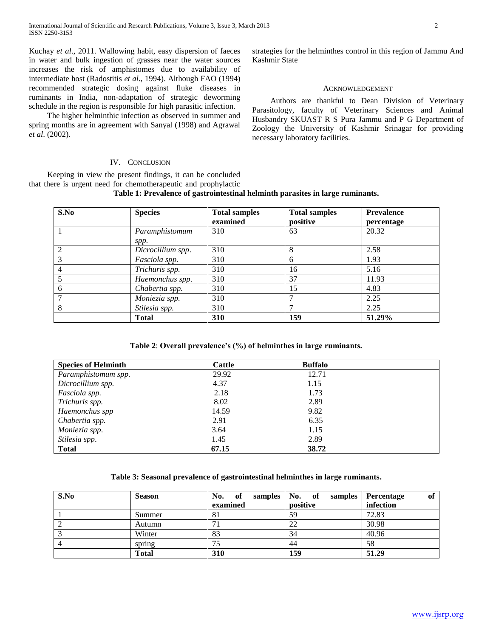Kuchay *et al*., 2011. Wallowing habit, easy dispersion of faeces in water and bulk ingestion of grasses near the water sources increases the risk of amphistomes due to availability of intermediate host (Radostitis *et al*., 1994). Although FAO (1994) recommended strategic dosing against fluke diseases in ruminants in India, non-adaptation of strategic deworming schedule in the region is responsible for high parasitic infection.

 The higher helminthic infection as observed in summer and spring months are in agreement with Sanyal (1998) and Agrawal *et al*. (2002).

# IV. CONCLUSION

 Keeping in view the present findings, it can be concluded that there is urgent need for chemotherapeutic and prophylactic **Table 1: Prevalence of gastrointestinal helminth parasites in large ruminants.**

strategies for the helminthes control in this region of Jammu And Kashmir State

# ACKNOWLEDGEMENT

 Authors are thankful to Dean Division of Veterinary Parasitology, faculty of Veterinary Sciences and Animal Husbandry SKUAST R S Pura Jammu and P G Department of Zoology the University of Kashmir Srinagar for providing necessary laboratory facilities.

| S.No           | <b>Species</b>         | <b>Total samples</b><br>examined | <b>Total samples</b><br>positive | <b>Prevalence</b><br>percentage |
|----------------|------------------------|----------------------------------|----------------------------------|---------------------------------|
|                | Paramphistomum<br>spp. | 310                              | 63                               | 20.32                           |
| 2              | Dicrocillium spp.      | 310                              | 8                                | 2.58                            |
| $\overline{3}$ | Fasciola spp.          | 310                              | 6                                | 1.93                            |
| $\overline{4}$ | Trichuris spp.         | 310                              | 16                               | 5.16                            |
| 5              | Haemonchus spp.        | 310                              | 37                               | 11.93                           |
| 6              | Chabertia spp.         | 310                              | 15                               | 4.83                            |
|                | Moniezia spp.          | 310                              |                                  | 2.25                            |
| 8              | Stilesia spp.          | 310                              |                                  | 2.25                            |
|                | <b>Total</b>           | <b>310</b>                       | 159                              | 51.29%                          |

**Table 2**: **Overall prevalence's (%) of helminthes in large ruminants.**

| <b>Species of Helminth</b> | Cattle | <b>Buffalo</b> |  |
|----------------------------|--------|----------------|--|
| Paramphistomum spp.        | 29.92  | 12.71          |  |
| Dicrocillium spp.          | 4.37   | 1.15           |  |
| Fasciola spp.              | 2.18   | 1.73           |  |
| Trichuris spp.             | 8.02   | 2.89           |  |
| Haemonchus spp             | 14.59  | 9.82           |  |
| Chabertia spp.             | 2.91   | 6.35           |  |
| Moniezia spp.              | 3.64   | 1.15           |  |
| Stilesia spp.              | 1.45   | 2.89           |  |
| <b>Total</b>               | 67.15  | 38.72          |  |

# **Table 3: Seasonal prevalence of gastrointestinal helminthes in large ruminants.**

| S.No | <b>Season</b> | No. of   | samples   No. of<br>samples | of<br>Percentage |
|------|---------------|----------|-----------------------------|------------------|
|      |               | examined | positive                    | infection        |
|      | Summer        | 81       | 59                          | 72.83            |
|      | Autumn        |          | 22                          | 30.98            |
|      | Winter        | 83       | 34                          | 40.96            |
|      | spring        | 75       | 44                          | 58               |
|      | <b>Total</b>  | 310      | 159                         | 51.29            |